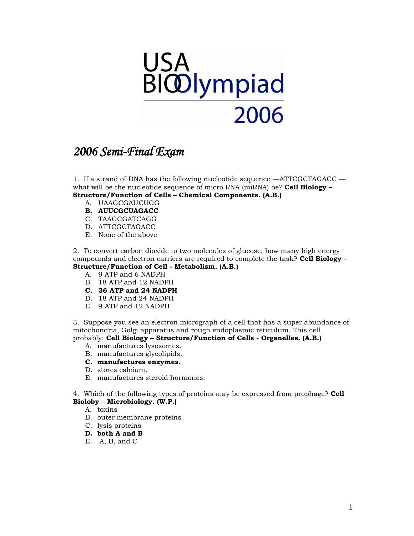

# *2006 Semi-Final Exam*

1. If a strand of DNA has the following nucleotide sequence —ATTCGCTAGACC what will be the nucleotide sequence of micro RNA (miRNA) be? **Cell Biology – Structure/Function of Cells – Chemical Components. (A.B.)**

- A. UAAGCGAUCUGG
- **B. AUUCGCUAGACC**
- C. TAAGCGATCAGG
- D. ATTCGCTAGACC
- E. None of the above

2. To convert carbon dioxide to two molecules of glucose, how many high energy compounds and electron carriers are required to complete the task? **Cell Biology – Structure/Function of Cell - Metabolism. (A.B.)**

- A. 9 ATP and 6 NADPH
- B. 18 ATP and 12 NADPH
- **C. 36 ATP and 24 NADPH**
- D. 18 ATP and 24 NADPH
- E. 9 ATP and 12 NADPH

3. Suppose you see an electron micrograph of a cell that has a super abundance of mitochondria, Golgi apparatus and rough endoplasmic reticulum. This cell probably: **Cell Biology – Structure/Function of Cells - Organelles. (A.B.)**

- A. manufactures lysosomes.
- B. manufactures glycolipids.

#### **C. manufactures enzymes.**

- D. stores calcium.
- E. manufactures steroid hormones.

4. Which of the following types of proteins may be expressed from prophage? **Cell Bioloby – Microbiology. (W.P.)**

- A. toxins
- B. outer membrane proteins
- C. lysis proteins
- **D. both A and B**
- E. A, B, and C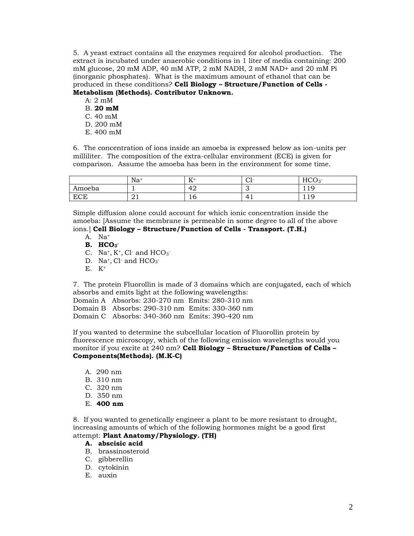5. A yeast extract contains all the enzymes required for alcohol production. The extract is incubated under anaerobic conditions in 1 liter of media containing: 200 mM glucose, 20 mM ADP, 40 mM ATP, 2 mM NADH, 2 mM NAD+ and 20 mM Pi (inorganic phosphates). What is the maximum amount of ethanol that can be produced in these conditions? **Cell Biology – Structure/Function of Cells - Metabolism (Methods). Contributor Unknown.**

- A: 2 mM B. **20 mM** C. 40 mM D. 200 mM
- E. 400 mM

6. The concentration of ions inside an amoeba is expressed below as ion-units per milliliter. The composition of the extra-cellular environment (ECE) is given for comparison. Assume the amoeba has been in the environment for some time.

|            | Na       | T.<br><b>TT</b>         | $\cap$ 1-<br>◡ | HCO                    |
|------------|----------|-------------------------|----------------|------------------------|
| Amoeba     | -        | $\Lambda^{\circ}$<br>т∠ | ັ              | 1 <sub>0</sub><br>---  |
| <b>ECE</b> | $\sim$ 1 | ⊥∪                      | 4              | $\epsilon$<br>1<br>--- |

Simple diffusion alone could account for which ionic concentration inside the amoeba: [Assume the membrane is permeable in some degree to all of the above ions.] **Cell Biology – Structure/Function of Cells - Transport. (T.H.)**

- A. Na<sup>+</sup>
- **B. HCO<sup>3</sup> -**
- C. Na<sup>+</sup>, K<sup>+</sup>, Cl<sup>-</sup> and  $HCO<sub>3</sub>$ <sup>-</sup>
- D. Na<sup>+</sup>, Cl<sup>-</sup> and  $HCO<sub>3</sub>$ <sup>-</sup>
- $E.$   $K^+$

7. The protein Fluorollin is made of 3 domains which are conjugated, each of which absorbs and emits light at the following wavelengths:

Domain A Absorbs: 230-270 nm Emits: 280-310 nm Domain B Absorbs: 290-310 nm Emits: 330-360 nm Domain C Absorbs: 340-360 nm Emits: 390-420 nm

If you wanted to determine the subcellular location of Fluorollin protein by fluorescence microscopy, which of the following emission wavelengths would you monitor if you excite at 240 nm? **Cell Biology – Structure/Function of Cells – Components(Methods). (M.K-C)**

- A. 290 nm
- B. 310 nm
- C. 320 nm
- D. 350 nm
- E. **400 nm**

8. If you wanted to genetically engineer a plant to be more resistant to drought, increasing amounts of which of the following hormones might be a good first

## attempt: **Plant Anatomy/Physiology. (TH)**

### **A. abscisic acid**

- B. brassinosteroid
- C. gibberellin
- D. cytokinin
- E. auxin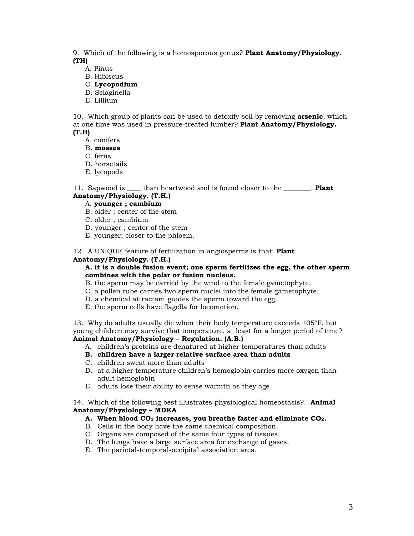9. Which of the following is a homosporous genus? **Plant Anatomy/Physiology. (TH)**

- A. Pinus
- B. Hibiscus
- C. **Lycopodium**
- D. Selaginella
- E. Lillium

10. Which group of plants can be used to detoxify soil by removing **arsenic**, which at one time was used in pressure-treated lumber? **Plant Anatomy/Physiology. (T.H)**

- A. conifers
- B**. mosses**

C. ferns

- D. horsetails
- E. lycopods

11. Sapwood is \_\_\_\_ than heartwood and is found closer to the \_\_\_\_\_\_\_\_. **Plant Anatomy/Physiology. (T.H.)**

#### A. **younger ; cambium**

- B. older ; center of the stem
- C. older ; cambium
- D. younger ; center of the stem
- E. younger; closer to the phloem.

12. A UNIQUE feature of fertilization in angiosperms is that: **Plant** 

#### **Anatomy/Physiology. (T.H.)**

#### **A. it is a double fusion event; one sperm fertilizes the egg, the other sperm combines with the polar or fusion nucleus.**

- B. the sperm may be carried by the wind to the female gametophyte.
- C. a pollen tube carries two sperm nuclei into the female gametophyte.
- D. a chemical attractant guides the sperm toward the egg.
- E. the sperm cells have flagella for locomotion.

13. Why do adults usually die when their body temperature exceeds 105°F, but young children may survive that temperature, at least for a longer period of time?

# **Animal Anatomy/Physiology – Regulation. (A.B.)**

- A. children's proteins are denatured at higher temperatures than adults
- **B. children have a larger relative surface area than adults**
- C. children sweat more than adults
- D. at a higher temperature children's hemoglobin carries more oxygen than adult hemoglobin
- E. adults lose their ability to sense warmth as they age

14. Which of the following best illustrates physiological homeostasis?. **Animal Anatomy/Physiology – MDKA**

#### **A. When blood CO<sup>2</sup> increases, you breathe faster and eliminate CO2.**

- B. Cells in the body have the same chemical composition.
- C. Organs are composed of the same four types of tissues.
- D. The lungs have a large surface area for exchange of gases.
- E. The parietal-temporal-occipital association area.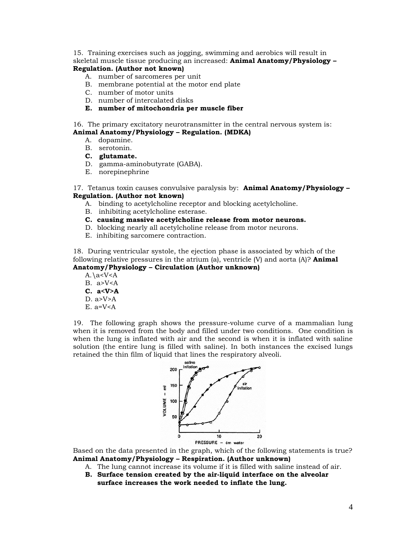15. Training exercises such as jogging, swimming and aerobics will result in skeletal muscle tissue producing an increased: **Animal Anatomy/Physiology – Regulation. (Author not known)**

# A. number of sarcomeres per unit

- B. membrane potential at the motor end plate
- C. number of motor units
- D. number of intercalated disks
- **E. number of mitochondria per muscle fiber**

16. The primary excitatory neurotransmitter in the central nervous system is:

#### **Animal Anatomy/Physiology – Regulation. (MDKA)**

- A. dopamine.
- B. serotonin.
- **C. glutamate.**
- D. gamma-aminobutyrate (GABA).
- E. norepinephrine

17. Tetanus toxin causes convulsive paralysis by: **Animal Anatomy/Physiology – Regulation. (Author not known)**

- A. binding to acetylcholine receptor and blocking acetylcholine.
- B. inhibiting acetylcholine esterase.
- **C. causing massive acetylcholine release from motor neurons.**
- D. blocking nearly all acetylcholine release from motor neurons.
- E. inhibiting sarcomere contraction.

18. During ventricular systole, the ejection phase is associated by which of the following relative pressures in the atrium (a), ventricle (V) and aorta (A)? **Animal Anatomy/Physiology – Circulation (Author unknown)**

 $A.\a$ B.  $a > V < A$ **C. a<V>A** D.  $a > V > A$ E.  $a=V < A$ 

19. The following graph shows the pressure-volume curve of a mammalian lung when it is removed from the body and filled under two conditions. One condition is when the lung is inflated with air and the second is when it is inflated with saline solution (the entire lung is filled with saline). In both instances the excised lungs retained the thin film of liquid that lines the respiratory alveoli.



Based on the data presented in the graph, which of the following statements is true? **Animal Anatomy/Physiology – Respiration. (Author unknown)**

- A. The lung cannot increase its volume if it is filled with saline instead of air.
- **B. Surface tension created by the air-liquid interface on the alveolar surface increases the work needed to inflate the lung.**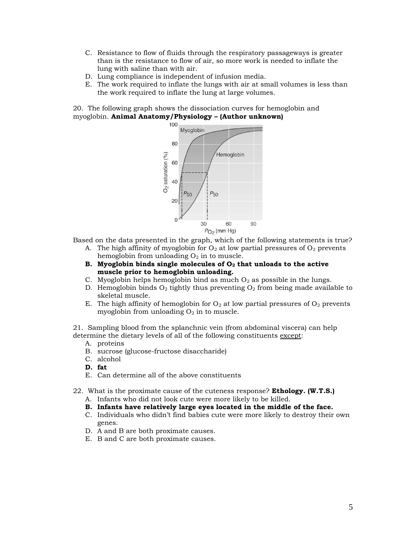- C. Resistance to flow of fluids through the respiratory passageways is greater than is the resistance to flow of air, so more work is needed to inflate the lung with saline than with air.
- D. Lung compliance is independent of infusion media.
- E. The work required to inflate the lungs with air at small volumes is less than the work required to inflate the lung at large volumes.

20. The following graph shows the dissociation curves for hemoglobin and myoglobin. **Animal Anatomy/Physiology – (Author unknown)**



Based on the data presented in the graph, which of the following statements is true?

- A. The high affinity of myoglobin for  $O_2$  at low partial pressures of  $O_2$  prevents hemoglobin from unloading  $O_2$  in to muscle.
- **B. Myoglobin binds single molecules of O<sup>2</sup> that unloads to the active muscle prior to hemoglobin unloading.**
- C. Myoglobin helps hemoglobin bind as much  $O<sub>2</sub>$  as possible in the lungs.
- D. Hemoglobin binds  $O_2$  tightly thus preventing  $O_2$  from being made available to skeletal muscle.
- E. The high affinity of hemoglobin for  $O_2$  at low partial pressures of  $O_2$  prevents myoglobin from unloading  $O_2$  in to muscle.

21. Sampling blood from the splanchnic vein (from abdominal viscera) can help determine the dietary levels of all of the following constituents except:

- A. proteins
- B. sucrose (glucose-fructose disaccharide)
- C. alcohol
- **D. fat**
- E. Can determine all of the above constituents
- 22. What is the proximate cause of the cuteness response? **Ethology. (W.T.S.)**
	- A. Infants who did not look cute were more likely to be killed.
	- **B. Infants have relatively large eyes located in the middle of the face.**
	- C. Individuals who didn't find babies cute were more likely to destroy their own genes.
	- D. A and B are both proximate causes.
	- E. B and C are both proximate causes.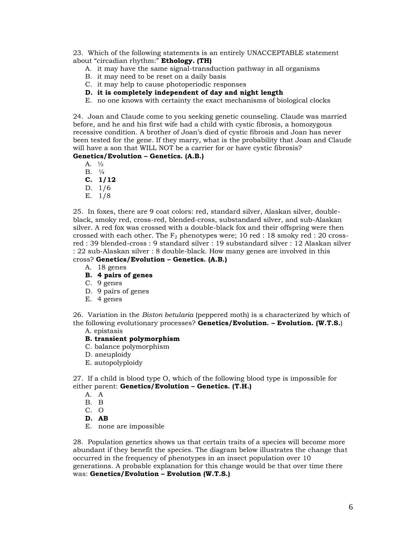23. Which of the following statements is an entirely UNACCEPTABLE statement about "circadian rhythm:" **Ethology. (TH)**

- A. it may have the same signal-transduction pathway in all organisms
- B. it may need to be reset on a daily basis
- C. it may help to cause photoperiodic responses
- **D. it is completely independent of day and night length**
- E. no one knows with certainty the exact mechanisms of biological clocks

24. Joan and Claude come to you seeking genetic counseling. Claude was married before, and he and his first wife had a child with cystic fibrosis, a homozygous recessive condition. A brother of Joan's died of cystic fibrosis and Joan has never been tested for the gene. If they marry, what is the probability that Joan and Claude will have a son that WILL NOT be a carrier for or have cystic fibrosis?

# **Genetics/Evolution – Genetics. (A.B.)**

A. ½

- B. ¼
- **C. 1/12**
- D. 1/6
- E. 1/8

25. In foxes, there are 9 coat colors: red, standard silver, Alaskan silver, doubleblack, smoky red, cross-red, blended-cross, substandard silver, and sub-Alaskan silver. A red fox was crossed with a double-black fox and their offspring were then crossed with each other. The  $F_2$  phenotypes were; 10 red : 18 smoky red : 20 crossred : 39 blended-cross : 9 standard silver : 19 substandard silver : 12 Alaskan silver : 22 sub-Alaskan silver : 8 double-black. How many genes are involved in this cross? **Genetics/Evolution – Genetics. (A.B.)**

- A. 18 genes
- **B. 4 pairs of genes**
- C. 9 genes
- D. 9 pairs of genes
- E. 4 genes

26. Variation in the *Biston betularia* (peppered moth) is a characterized by which of the following evolutionary processes? **Genetics/Evolution. – Evolution. (W.T.S.**)

A. epistasis

# **B. transient polymorphism**

- C. balance polymorphism
- D. aneuploidy
- E. autopolyploidy

27. If a child is blood type O, which of the following blood type is impossible for either parent: **Genetics/Evolution – Genetics. (T.H.)**

- A. A
- B. B
- C. O
- **D. AB**
- E. none are impossible

28. Population genetics shows us that certain traits of a species will become more abundant if they benefit the species. The diagram below illustrates the change that occurred in the frequency of phenotypes in an insect population over 10 generations. A probable explanation for this change would be that over time there was: **Genetics/Evolution – Evolution (W.T.S.)**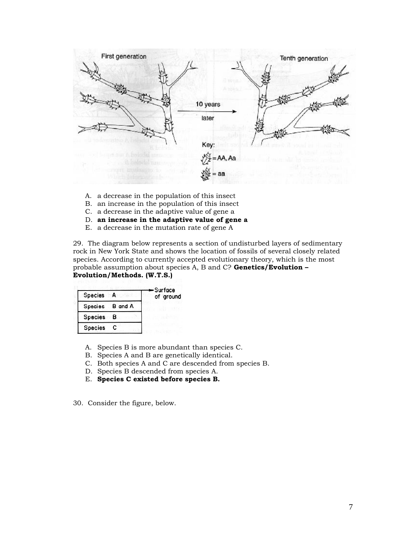

- A. a decrease in the population of this insect
- B. an increase in the population of this insect
- C. a decrease in the adaptive value of gene a
- D. **an increase in the adaptive value of gene a**
- E. a decrease in the mutation rate of gene A

29. The diagram below represents a section of undisturbed layers of sedimentary rock in New York State and shows the location of fossils of several closely related species. According to currently accepted evolutionary theory, which is the most probable assumption about species A, B and C? **Genetics/Evolution – Evolution/Methods. (W.T.S.)**

| <b>Species</b>  | – Surface<br>of ground |
|-----------------|------------------------|
| Species B and A |                        |
| Species B       |                        |
| <b>Species</b>  |                        |

- A. Species B is more abundant than species C.
- B. Species A and B are genetically identical.
- C. Both species A and C are descended from species B.
- D. Species B descended from species A.
- E. **Species C existed before species B.**
- 30. Consider the figure, below.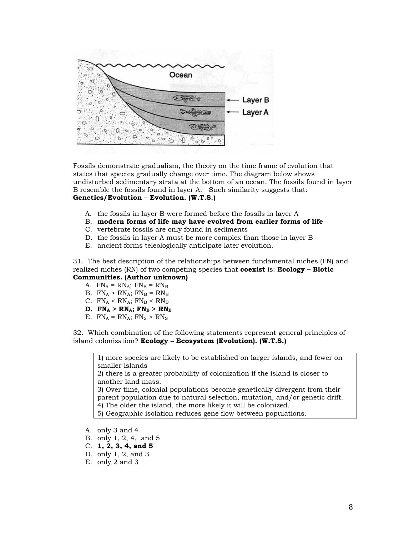

Fossils demonstrate gradualism, the theory on the time frame of evolution that states that species gradually change over time. The diagram below shows undisturbed sedimentary strata at the bottom of an ocean. The fossils found in layer B resemble the fossils found in layer A. Such similarity suggests that: **Genetics/Evolution – Evolution. (W.T.S.)**

- A. the fossils in layer B were formed before the fossils in layer A
- B. **modern forms of life may have evolved from earlier forms of life**
- C. vertebrate fossils are only found in sediments
- D. the fossils in layer A must be more complex than those in layer B
- E. ancient forms teleologically anticipate later evolution.

31. The best description of the relationships between fundamental niches (FN) and realized niches (RN) of two competing species that **coexist** is: **Ecology – Biotic Communities. (Author unknown)**

# A.  $FN_A = RN_A$ ;  $FN_B = RN_B$

- B.  $FN_A > RN_A$ ;  $FN_B = RN_B$
- C.  $FN_A < RN_A$ ;  $FN_B < RN_B$
- $D.$  FN<sub>A</sub> > RN<sub>A</sub>; FN<sub>B</sub> > RN<sub>B</sub>
- E.  $FN_A = RN_A$ ;  $FN_S > RN_S$

32. Which combination of the following statements represent general principles of island colonization? **Ecology – Ecosystem (Evolution). (W.T.S.)**

1) more species are likely to be established on larger islands, and fewer on smaller islands

2) there is a greater probability of colonization if the island is closer to another land mass.

3) Over time, colonial populations become genetically divergent from their parent population due to natural selection, mutation, and/or genetic drift.

4) The older the island, the more likely it will be colonized.

5) Geographic isolation reduces gene flow between populations.

- A. only 3 and 4
- B. only 1, 2, 4, and 5
- C. **1, 2, 3, 4, and 5**
- D. only 1, 2, and 3
- E. only 2 and 3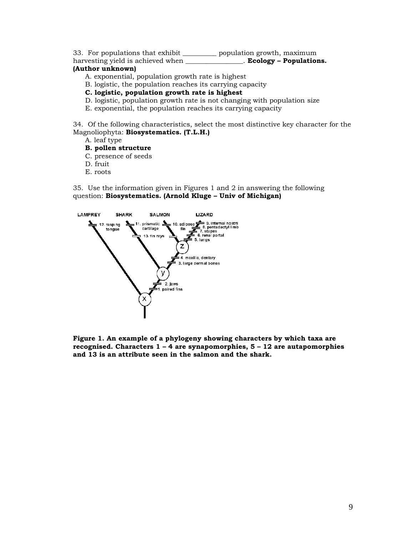33. For populations that exhibit \_\_\_\_\_\_\_\_\_\_ population growth, maximum

harvesting yield is achieved when \_\_\_\_\_\_\_\_\_\_\_\_\_\_\_\_\_. **Ecology – Populations.** 

# **(Author unknown)**

- A. exponential, population growth rate is highest
- B. logistic, the population reaches its carrying capacity
- **C. logistic, population growth rate is highest**
- D. logistic, population growth rate is not changing with population size
- E. exponential, the population reaches its carrying capacity

34. Of the following characteristics, select the most distinctive key character for the Magnoliophyta: **Biosystematics. (T.L.H.)**

- A. leaf type
- **B. pollen structure**
- C. presence of seeds
- D. fruit
- E. roots

35. Use the information given in Figures 1 and 2 in answering the following question: **Biosystematics. (Arnold Kluge – Univ of Michigan)**



**Figure 1. An example of a phylogeny showing characters by which taxa are recognised. Characters 1 – 4 are synapomorphies, 5 – 12 are autapomorphies and 13 is an attribute seen in the salmon and the shark.**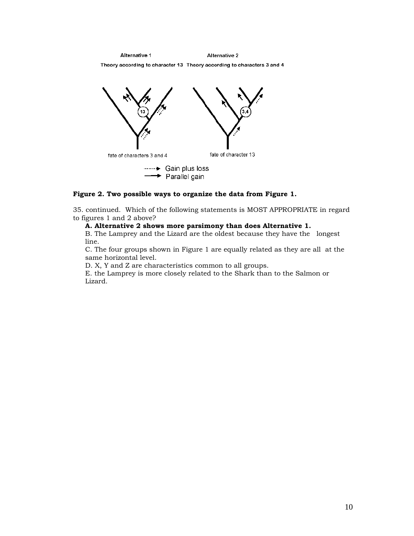Alternative 1 Alternative 2 Theory according to character 13 Theory according to characters 3 and 4



#### **Figure 2. Two possible ways to organize the data from Figure 1.**

35. continued. Which of the following statements is MOST APPROPRIATE in regard to figures 1 and 2 above?

#### **A. Alternative 2 shows more parsimony than does Alternative 1.**

B. The Lamprey and the Lizard are the oldest because they have the longest line.

C. The four groups shown in Figure 1 are equally related as they are all at the same horizontal level.

D. X, Y and Z are characteristics common to all groups.

E. the Lamprey is more closely related to the Shark than to the Salmon or Lizard.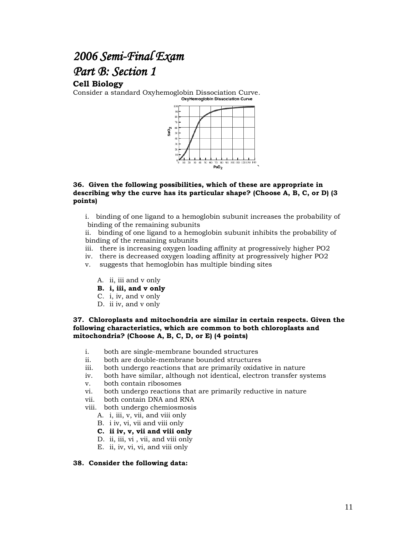# *2006 Semi-Final Exam Part B: Section 1*

# **Cell Biology**

Consider a standard Oxyhemoglobin Dissociation Curve.<br>
<sub>OxyHemoglobin</sub> Dissociation Curve



#### **36. Given the following possibilities, which of these are appropriate in describing why the curve has its particular shape? (Choose A, B, C, or D) (3 points)**

i. binding of one ligand to a hemoglobin subunit increases the probability of binding of the remaining subunits

ii. binding of one ligand to a hemoglobin subunit inhibits the probability of binding of the remaining subunits

- iii. there is increasing oxygen loading affinity at progressively higher PO2
- iv. there is decreased oxygen loading affinity at progressively higher PO2
- v. suggests that hemoglobin has multiple binding sites
	- A. ii, iii and v only
	- **B. i, iii, and v only**
	- C. i, iv, and v only
	- D. ii iv, and v only

#### **37. Chloroplasts and mitochondria are similar in certain respects. Given the following characteristics, which are common to both chloroplasts and mitochondria? (Choose A, B, C, D, or E) (4 points)**

- i. both are single-membrane bounded structures
- ii. both are double-membrane bounded structures
- iii. both undergo reactions that are primarily oxidative in nature
- iv. both have similar, although not identical, electron transfer systems
- v. both contain ribosomes
- vi. both undergo reactions that are primarily reductive in nature
- vii. both contain DNA and RNA
- viii. both undergo chemiosmosis
	- A. i, iii, v, vii, and viii only
	- B. i iv, vi, vii and viii only
	- **C. ii iv, v, vii and viii only**
	- D. ii, iii, vi , vii, and viii only
	- E. ii, iv, vi, vi, and viii only

#### **38. Consider the following data:**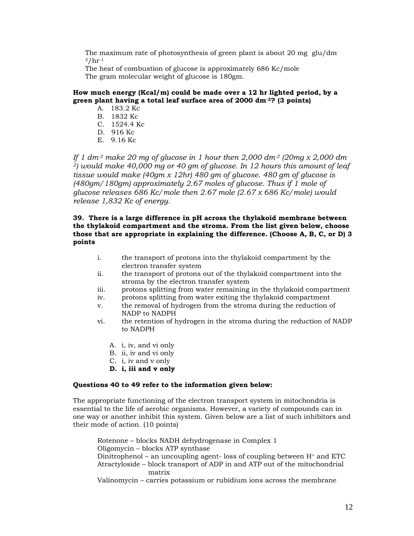The maximum rate of photosynthesis of green plant is about 20 mg  $glu/dm$  $2/hr^{-1}$ 

The heat of combustion of glucose is approximately 686 Kc/mole The gram molecular weight of glucose is 180gm.

#### **How much energy (Kcal/m) could be made over a 12 hr lighted period, by a green plant having a total leaf surface area of 2000 dm-2? (3 points)**

- A. 183.2 Kc
- B. 1832 Kc
- $C = 1524.4$  Kc.
- D. 916 Kc
- E. 9.16 Kc

*If 1 dm-2 make 20 mg of glucose in 1 hour then 2,000 dm-2 (20mg x 2,000 dm-<sup>2</sup>) would make 40,000 mg or 40 gm of glucose. In 12 hours this amount of leaf tissue would make (40gm x 12hr) 480 gm of glucose. 480 gm of glucose is (480gm/180gm) approximately 2.67 moles of glucose. Thus if 1 mole of glucose releases 686 Kc/mole then 2.67 mole (2.67 x 686 Kc/mole) would release 1,832 Kc of energy.*

#### **39. There is a large difference in pH across the thylakoid membrane between the thylakoid compartment and the stroma. From the list given below, choose those that are appropriate in explaining the difference. (Choose A, B, C, or D) 3 points**

- i. the transport of protons into the thylakoid compartment by the electron transfer system
- ii. the transport of protons out of the thylakoid compartment into the stroma by the electron transfer system
- iii. protons splitting from water remaining in the thylakoid compartment
- iv. protons splitting from water exiting the thylakoid compartment
- v. the removal of hydrogen from the stroma during the reduction of NADP to NADPH
- vi. the retention of hydrogen in the stroma during the reduction of NADP to NADPH
	- A. i, iv, and vi only
	- B. ii, iv and vi only
	- C. i, iv and v only
	- **D. i, iii and v only**

#### **Questions 40 to 49 refer to the information given below:**

The appropriate functioning of the electron transport system in mitochondria is essential to the life of aerobic organisms. However, a variety of compounds can in one way or another inhibit this system. Given below are a list of such inhibitors and their mode of action. (10 points)

Rotenone – blocks NADH dehydrogenase in Complex 1 Oligomycin – blocks ATP synthase Dinitrophenol – an uncoupling agent-loss of coupling between  $H<sup>+</sup>$  and ETC Atractyloside – block transport of ADP in and ATP out of the mitochondrial matrix

Valinomycin – carries potassium or rubidium ions across the membrane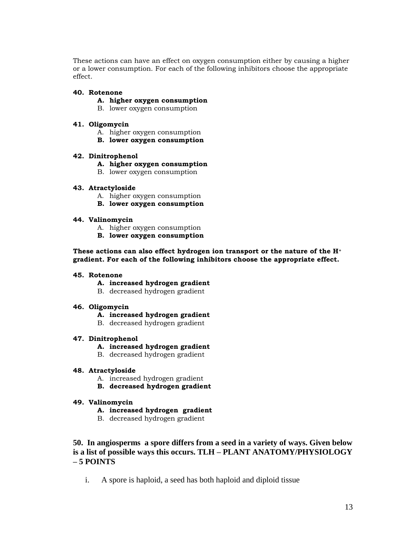These actions can have an effect on oxygen consumption either by causing a higher or a lower consumption. For each of the following inhibitors choose the appropriate effect.

#### **40. Rotenone**

- **A. higher oxygen consumption**
- B. lower oxygen consumption

#### **41. Oligomycin**

- A. higher oxygen consumption
- **B. lower oxygen consumption**

#### **42. Dinitrophenol**

- **A. higher oxygen consumption**
- B. lower oxygen consumption

#### **43. Atractyloside**

- A. higher oxygen consumption
- **B. lower oxygen consumption**

#### **44. Valinomycin**

- A. higher oxygen consumption
- **B. lower oxygen consumption**

#### **These actions can also effect hydrogen ion transport or the nature of the H<sup>+</sup> gradient. For each of the following inhibitors choose the appropriate effect.**

#### **45. Rotenone**

- **A. increased hydrogen gradient**
- B. decreased hydrogen gradient

#### **46. Oligomycin**

#### **A. increased hydrogen gradient**

B. decreased hydrogen gradient

#### **47. Dinitrophenol**

- **A. increased hydrogen gradient**
- B. decreased hydrogen gradient

#### **48. Atractyloside**

- A. increased hydrogen gradient
- **B. decreased hydrogen gradient**

#### **49. Valinomycin**

- **A. increased hydrogen gradient**
- B. decreased hydrogen gradient

# **50. In angiosperms a spore differs from a seed in a variety of ways. Given below is a list of possible ways this occurs. TLH – PLANT ANATOMY/PHYSIOLOGY – 5 POINTS**

i. A spore is haploid, a seed has both haploid and diploid tissue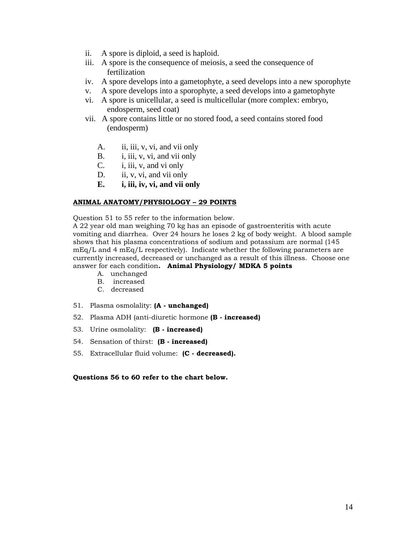- ii. A spore is diploid, a seed is haploid.
- iii. A spore is the consequence of meiosis, a seed the consequence of fertilization
- iv. A spore develops into a gametophyte, a seed develops into a new sporophyte
- v. A spore develops into a sporophyte, a seed develops into a gametophyte
- vi. A spore is unicellular, a seed is multicellular (more complex: embryo, endosperm, seed coat)
- vii. A spore contains little or no stored food, a seed contains stored food (endosperm)
	- A. ii, iii, v, vi, and vii only
	- B. i, iii, v, vi, and vii only
	- C. i, iii, v, and vi only
	- D. ii, v, vi, and vii only
	- **E. i, iii, iv, vi, and vii only**

#### **ANIMAL ANATOMY/PHYSIOLOGY – 29 POINTS**

Question 51 to 55 refer to the information below. A 22 year old man weighing 70 kg has an episode of gastroenteritis with acute vomiting and diarrhea. Over 24 hours he loses 2 kg of body weight. A blood sample shows that his plasma concentrations of sodium and potassium are normal (145  $mEq/L$  and 4 mEq/L respectively). Indicate whether the following parameters are currently increased, decreased or unchanged as a result of this illness. Choose one answer for each condition**. Animal Physiology/ MDKA 5 points**

- A. unchanged
- B. increased
- C. decreased
- 51. Plasma osmolality: **(A - unchanged)**
- 52. Plasma ADH (anti-diuretic hormone **(B - increased)**
- 53. Urine osmolality: **(B - increased)**
- 54. Sensation of thirst: **(B - increased)**
- 55. Extracellular fluid volume: **(C - decreased).**

#### **Questions 56 to 60 refer to the chart below.**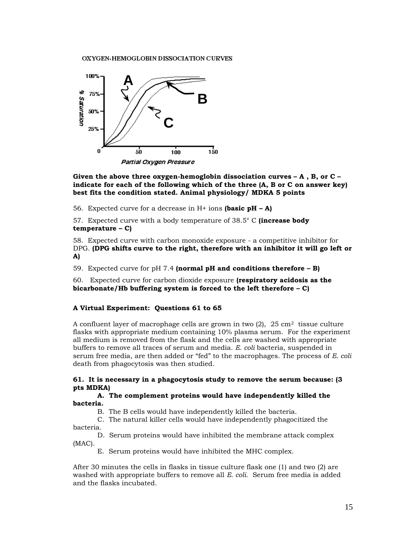OXYGEN-HEMOGLOBIN DISSOCIATION CURVES



**Given the above three oxygen-hemoglobin dissociation curves – A , B, or C – indicate for each of the following which of the three (A, B or C on answer key) best fits the condition stated. Animal physiology/ MDKA 5 points** 

56. Expected curve for a decrease in H+ ions **(basic pH – A)**

57. Expected curve with a body temperature of 38.5° C **(increase body temperature – C)**

58. Expected curve with carbon monoxide exposure - a competitive inhibitor for DPG. **(DPG shifts curve to the right, therefore with an inhibitor it will go left or A)**

59. Expected curve for pH 7.4 **(normal pH and conditions therefore – B)**

60. Expected curve for carbon dioxide exposure **(respiratory acidosis as the bicarbonate/Hb buffering system is forced to the left therefore – C)**

#### **A Virtual Experiment: Questions 61 to 65**

A confluent layer of macrophage cells are grown in two  $(2)$ ,  $25 \text{ cm}^2$  tissue culture flasks with appropriate medium containing 10% plasma serum. For the experiment all medium is removed from the flask and the cells are washed with appropriate buffers to remove all traces of serum and media. *E. coli* bacteria, suspended in serum free media, are then added or "fed" to the macrophages. The process of *E. coli* death from phagocytosis was then studied.

#### **61. It is necessary in a phagocytosis study to remove the serum because: (3 pts MDKA)**

#### **A. The complement proteins would have independently killed the bacteria.**

B. The B cells would have independently killed the bacteria.

C. The natural killer cells would have independently phagocitized the bacteria.

D. Serum proteins would have inhibited the membrane attack complex (MAC).

E. Serum proteins would have inhibited the MHC complex.

After 30 minutes the cells in flasks in tissue culture flask one (1) and two (2) are washed with appropriate buffers to remove all *E. coli*. Serum free media is added and the flasks incubated.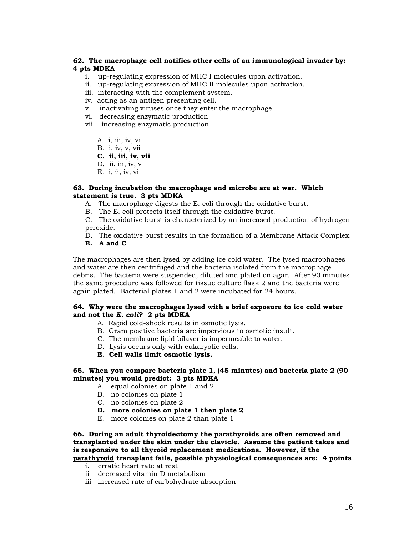#### **62. The macrophage cell notifies other cells of an immunological invader by: 4 pts MDKA**

- i. up-regulating expression of MHC I molecules upon activation.
- ii. up-regulating expression of MHC II molecules upon activation.
- iii. interacting with the complement system.
- iv. acting as an antigen presenting cell.
- v. inactivating viruses once they enter the macrophage.
- vi. decreasing enzymatic production
- vii. increasing enzymatic production
	- A. i, iii, iv, vi
	- B. i. iv, v, vii

**C. ii, iii, iv, vii**

- D.ii, iii, iv, v
- E. i, ii, iv, vi

#### **63. During incubation the macrophage and microbe are at war. Which statement is true. 3 pts MDKA**

- A. The macrophage digests the E. coli through the oxidative burst.
- B. The E. coli protects itself through the oxidative burst.

C. The oxidative burst is characterized by an increased production of hydrogen peroxide.

- D. The oxidative burst results in the formation of a Membrane Attack Complex.
- **E. A and C**

The macrophages are then lysed by adding ice cold water. The lysed macrophages and water are then centrifuged and the bacteria isolated from the macrophage debris. The bacteria were suspended, diluted and plated on agar. After 90 minutes the same procedure was followed for tissue culture flask 2 and the bacteria were again plated. Bacterial plates 1 and 2 were incubated for 24 hours.

#### **64. Why were the macrophages lysed with a brief exposure to ice cold water and not the** *E. coli***? 2 pts MDKA**

- A. Rapid cold-shock results in osmotic lysis.
- B. Gram positive bacteria are impervious to osmotic insult.
- C. The membrane lipid bilayer is impermeable to water.
- D. Lysis occurs only with eukaryotic cells.
- **E. Cell walls limit osmotic lysis.**

#### **65. When you compare bacteria plate 1, (45 minutes) and bacteria plate 2 (90 minutes) you would predict: 3 pts MDKA**

A.equal colonies on plate 1 and 2

- B. no colonies on plate 1
- C. no colonies on plate 2
- **D. more colonies on plate 1 then plate 2**
- E. more colonies on plate 2 than plate 1

**66. During an adult thyroidectomy the parathyroids are often removed and transplanted under the skin under the clavicle. Assume the patient takes and is responsive to all thyroid replacement medications. However, if the parathyroid transplant fails, possible physiological consequences are: 4 points**

- i. erratic heart rate at rest
- ii decreased vitamin D metabolism
- iii increased rate of carbohydrate absorption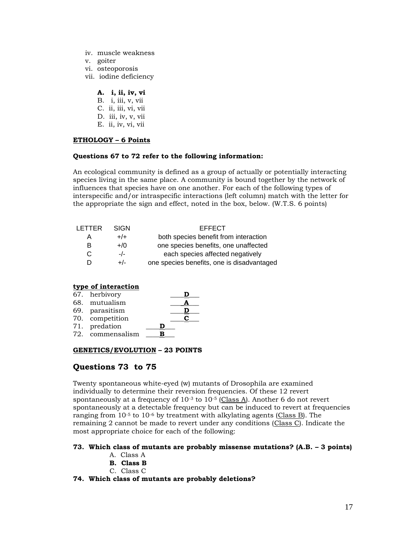- iv. muscle weakness
- v. goiter
- vi. osteoporosis
- vii. iodine deficiency

#### **A. i, ii, iv, vi**

- B. i, iii, v, vii C. ii, iii, vi, vii D. iii, iv, v, vii
- E. ii, iv, vi, vii

#### **ETHOLOGY – 6 Points**

#### **Questions 67 to 72 refer to the following information:**

An ecological community is defined as a group of actually or potentially interacting species living in the same place. A community is bound together by the network of influences that species have on one another. For each of the following types of interspecific and/or intraspecific interactions (left column) match with the letter for the appropriate the sign and effect, noted in the box, below. (W.T.S. 6 points)

| <b>I FTTFR</b> | SIGN   | <b>EFFECT</b>                              |
|----------------|--------|--------------------------------------------|
| A              | $+/+$  | both species benefit from interaction      |
| в              | $+$ /0 | one species benefits, one unaffected       |
| C              | $-/-$  | each species affected negatively           |
| D              | +/-    | one species benefits, one is disadvantaged |

#### **type of interaction**

| 67. herbivory    |   |     |
|------------------|---|-----|
| 68. mutualism    |   |     |
| 69. parasitism   |   |     |
| 70. competition  |   | . . |
| 71. predation    | Ð |     |
| 72. commensalism |   |     |

#### **GENETICS/EVOLUTION – 23 POINTS**

# **Questions 73 to 75**

Twenty spontaneous white-eyed (w) mutants of Drosophila are examined individually to determine their reversion frequencies. Of these 12 revert spontaneously at a frequency of  $10^{-3}$  to  $10^{-5}$  (Class A). Another 6 do not revert spontaneously at a detectable frequency but can be induced to revert at frequencies ranging from  $10^{-5}$  to  $10^{-6}$  by treatment with alkylating agents (Class B). The remaining 2 cannot be made to revert under any conditions (Class C). Indicate the most appropriate choice for each of the following:

#### **73. Which class of mutants are probably missense mutations? (A.B. – 3 points)**

- A. Class A
- **B. Class B**
- C. Class C

#### **74. Which class of mutants are probably deletions?**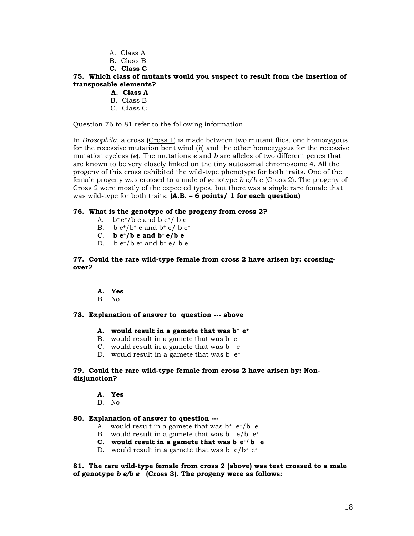- A. Class A
- B. Class B
- **C. Class C**

#### **75. Which class of mutants would you suspect to result from the insertion of transposable elements?**

- **A. Class A**
- B. Class B
- C. Class C

Question 76 to 81 refer to the following information.

In *Drosophila*, a cross (Cross 1) is made between two mutant flies, one homozygous for the recessive mutation bent wind (*b*) and the other homozygous for the recessive mutation eyeless (*e*). The mutations *e* and *b* are alleles of two different genes that are known to be very closely linked on the tiny autosomal chromosome 4. All the progeny of this cross exhibited the wild-type phenotype for both traits. One of the female progeny was crossed to a male of genotype *b e/b e* (Cross 2). The progeny of Cross 2 were mostly of the expected types, but there was a single rare female that was wild-type for both traits. **(A.B. – 6 points/ 1 for each question)**

#### **76. What is the genotype of the progeny from cross 2?**

- A.  $b^+e^+/b$  e and  $b e^+/b e$
- B. b  $e^+/b^+$  e and  $b^+$  e/ b  $e^+$
- C. **b**  $e^{+}/b$  **e** and  $b^{+}e/b$  **e**
- D. b  $e^+/b e^+$  and  $b^+ e/ b e^-$

**77. Could the rare wild-type female from cross 2 have arisen by: crossingover?** 

- **A. Yes**
- B. No

#### **78. Explanation of answer to question --- above**

#### **A. would result in a gamete that was b+ e<sup>+</sup>**

- B. would result in a gamete that was b e
- C. would result in a gamete that was  $b^+$  e
- D. would result in a gamete that was  $b e^+$

#### **79. Could the rare wild-type female from cross 2 have arisen by: Nondisjunction?**

- **A. Yes**
- B. No

#### **80. Explanation of answer to question ---**

- A. would result in a gamete that was  $b^+ e^+ / b \cdot e^-$
- B. would result in a gamete that was  $b^+ e/b e^+$
- **C.** would result in a gamete that was  $\mathbf{b} \cdot \mathbf{e}^{t}$  **b**<sup>+</sup> **e**
- D. would result in a gamete that was b  $e/b^+ e^+$

**81. The rare wild-type female from cross 2 (above) was test crossed to a male of genotype** *b e/b e* **(Cross 3). The progeny were as follows:**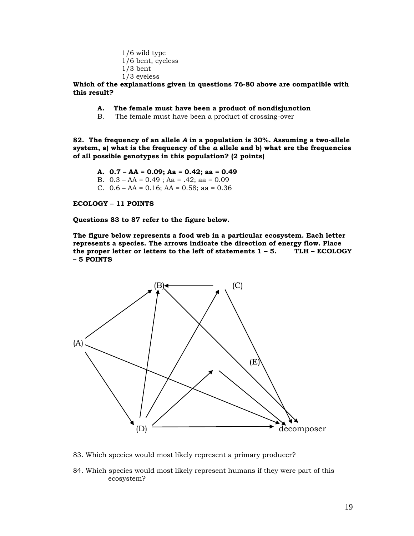1/6 wild type 1/6 bent, eyeless 1/3 bent 1/3 eyeless

**Which of the explanations given in questions 76-80 above are compatible with this result?** 

- **A. The female must have been a product of nondisjunction**
- B. The female must have been a product of crossing-over

**82. The frequency of an allele** *A* **in a population is 30%. Assuming a two-allele system, a) what is the frequency of the** *a* **allele and b) what are the frequencies of all possible genotypes in this population? (2 points)**

- **A. 0.7 – AA = 0.09; Aa = 0.42; aa = 0.49**
- B. 0.3 AA = 0.49 ; Aa = .42; aa = 0.09
- C.  $0.6 AA = 0.16$ ;  $AA = 0.58$ ; aa = 0.36

#### **ECOLOGY – 11 POINTS**

**Questions 83 to 87 refer to the figure below.**

**The figure below represents a food web in a particular ecosystem. Each letter represents a species. The arrows indicate the direction of energy flow. Place the proper letter or letters to the left of statements 1 – 5. TLH – ECOLOGY – 5 POINTS**



- 83. Which species would most likely represent a primary producer?
- 84. Which species would most likely represent humans if they were part of this ecosystem?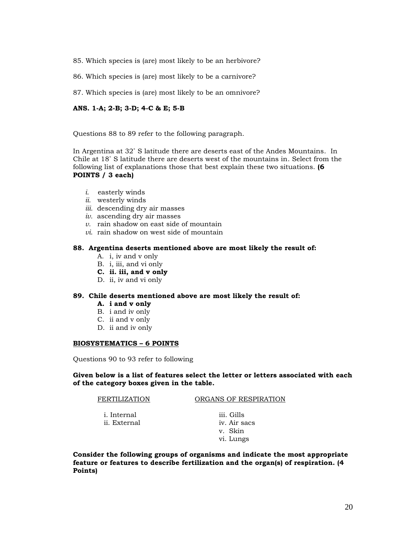- 85. Which species is (are) most likely to be an herbivore?
- 86. Which species is (are) most likely to be a carnivore?
- 87. Which species is (are) most likely to be an omnivore?

#### **ANS. 1-A; 2-B; 3-D; 4-C & E; 5-B**

Questions 88 to 89 refer to the following paragraph.

In Argentina at 32˚ S latitude there are deserts east of the Andes Mountains. In Chile at 18˚ S latitude there are deserts west of the mountains in. Select from the following list of explanations those that best explain these two situations. **(6 POINTS / 3 each)**

- *i.* easterly winds
- *ii.* westerly winds
- *iii.* descending dry air masses
- *iv.* ascending dry air masses
- *v.* rain shadow on east side of mountain
- *vi*. rain shadow on west side of mountain

#### **88. Argentina deserts mentioned above are most likely the result of:**

- A. i, iv and v only
- B. i, iii, and vi only
- **C. ii. iii, and v only**
- D. ii, iv and vi only

#### **89. Chile deserts mentioned above are most likely the result of:**

- **A. i and v only**
- B. i and iv only
- C. ii and v only
- D. ii and iv only

#### **BIOSYSTEMATICS – 6 POINTS**

Questions 90 to 93 refer to following

**Given below is a list of features select the letter or letters associated with each of the category boxes given in the table.**

FERTILIZATION ORGANS OF RESPIRATION

- i. Internal iii. Gills ii. External iv. Air sacs
- v. Skin vi. Lungs

**Consider the following groups of organisms and indicate the most appropriate feature or features to describe fertilization and the organ(s) of respiration. (4 Points)**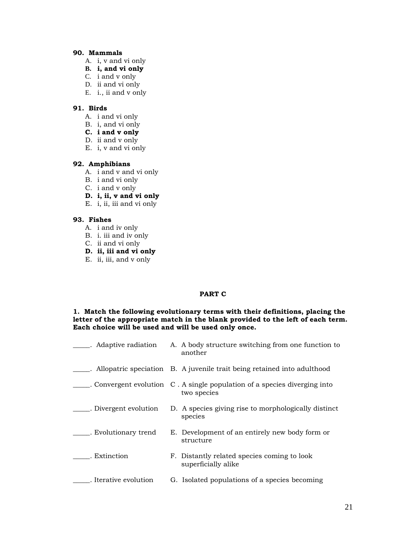#### **90. Mammals**

- A. i, v and vi only
- **B. i, and vi only**
- C. i and v only
- D. ii and vi only
- E. i., ii and v only

# **91. Birds**

- A. i and vi only
- B. i, and vi only
- **C. i and v only**
- D. ii and v only
- E. i, v and vi only

#### **92. Amphibians**

- A. i and v and vi only
- B. i and vi only
- C. i and v only
- **D. i, ii, v and vi only**
- E. i, ii, iii and vi only

#### **93. Fishes**

- A. i and iv only
- B. i. iii and iv only
- C. ii and vi only
- **D. ii, iii and vi only**
- E. ii, iii, and v only

### **PART C**

#### **1. Match the following evolutionary terms with their definitions, placing the letter of the appropriate match in the blank provided to the left of each term. Each choice will be used and will be used only once.**

| . Adaptive radiation  | A. A body structure switching from one function to<br>another                            |
|-----------------------|------------------------------------------------------------------------------------------|
|                       | Allopatric speciation B. A juvenile trait being retained into adulthood                  |
|                       | . Convergent evolution C. A single population of a species diverging into<br>two species |
| . Divergent evolution | D. A species giving rise to morphologically distinct<br>species                          |
| . Evolutionary trend  | E. Development of an entirely new body form or<br>structure                              |
| . Extinction          | F. Distantly related species coming to look<br>superficially alike                       |
| . Iterative evolution | G. Isolated populations of a species becoming                                            |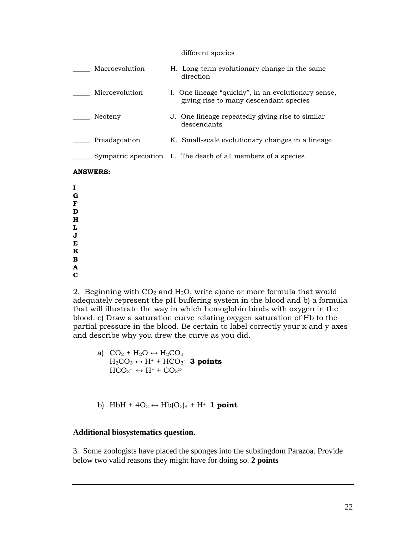#### different species

| . Macroevolution | H. Long-term evolutionary change in the same<br>direction                                     |
|------------------|-----------------------------------------------------------------------------------------------|
| . Microevolution | I. One lineage "quickly", in an evolutionary sense,<br>giving rise to many descendant species |
| . Neoteny        | J. One lineage repeatedly giving rise to similar<br>descendants                               |
| exteedaptation   | K. Small-scale evolutionary changes in a lineage                                              |
|                  | Sympatric speciation L. The death of all members of a species                                 |
| <b>ANSWERS:</b>  |                                                                                               |

**I G F D H L J E K B A**

**C**

2. Beginning with  $CO<sub>2</sub>$  and  $H<sub>2</sub>O$ , write a)one or more formula that would adequately represent the pH buffering system in the blood and b) a formula that will illustrate the way in which hemoglobin binds with oxygen in the blood. c) Draw a saturation curve relating oxygen saturation of Hb to the partial pressure in the blood. Be certain to label correctly your x and y axes and describe why you drew the curve as you did.

a) 
$$
CO_2 + H_2O \leftrightarrow H_2CO_3
$$
  
\n $H_2CO_3 \leftrightarrow H^+ + HCO_3^-$  **3 points**  
\n $HCO_3^- \leftrightarrow H^+ + CO_3^{2-}$ 

b) HbH +  $4O_2 \leftrightarrow Hb(O_2)_4 + H^+$  **1 point** 

# **Additional biosystematics question.**

3. Some zoologists have placed the sponges into the subkingdom Parazoa. Provide below two valid reasons they might have for doing so. **2 points**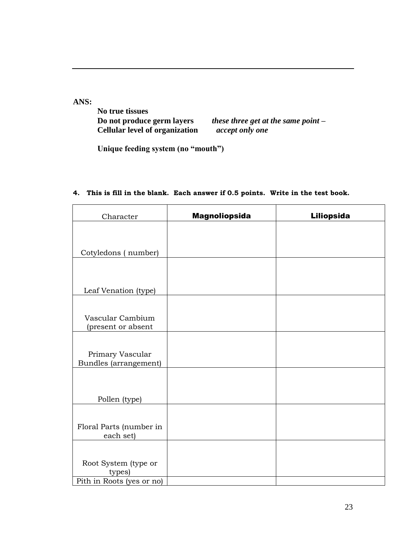**ANS:** 

**No true tissues Do not produce germ layers<br>Cellular level of organization** 

*bhese three get at the same point – accept only one* 

**Unique feeding system (no "mouth")**

| Character                                 | <b>Magnoliopsida</b> | <b>Liliopsida</b> |
|-------------------------------------------|----------------------|-------------------|
|                                           |                      |                   |
| Cotyledons (number)                       |                      |                   |
|                                           |                      |                   |
| Leaf Venation (type)                      |                      |                   |
|                                           |                      |                   |
| Vascular Cambium<br>(present or absent    |                      |                   |
|                                           |                      |                   |
| Primary Vascular<br>Bundles (arrangement) |                      |                   |
|                                           |                      |                   |
| Pollen (type)                             |                      |                   |
|                                           |                      |                   |
| Floral Parts (number in<br>each set)      |                      |                   |
|                                           |                      |                   |
| Root System (type or<br>types)            |                      |                   |
| Pith in Roots (yes or no)                 |                      |                   |

**4. This is fill in the blank. Each answer if 0.5 points. Write in the test book.**